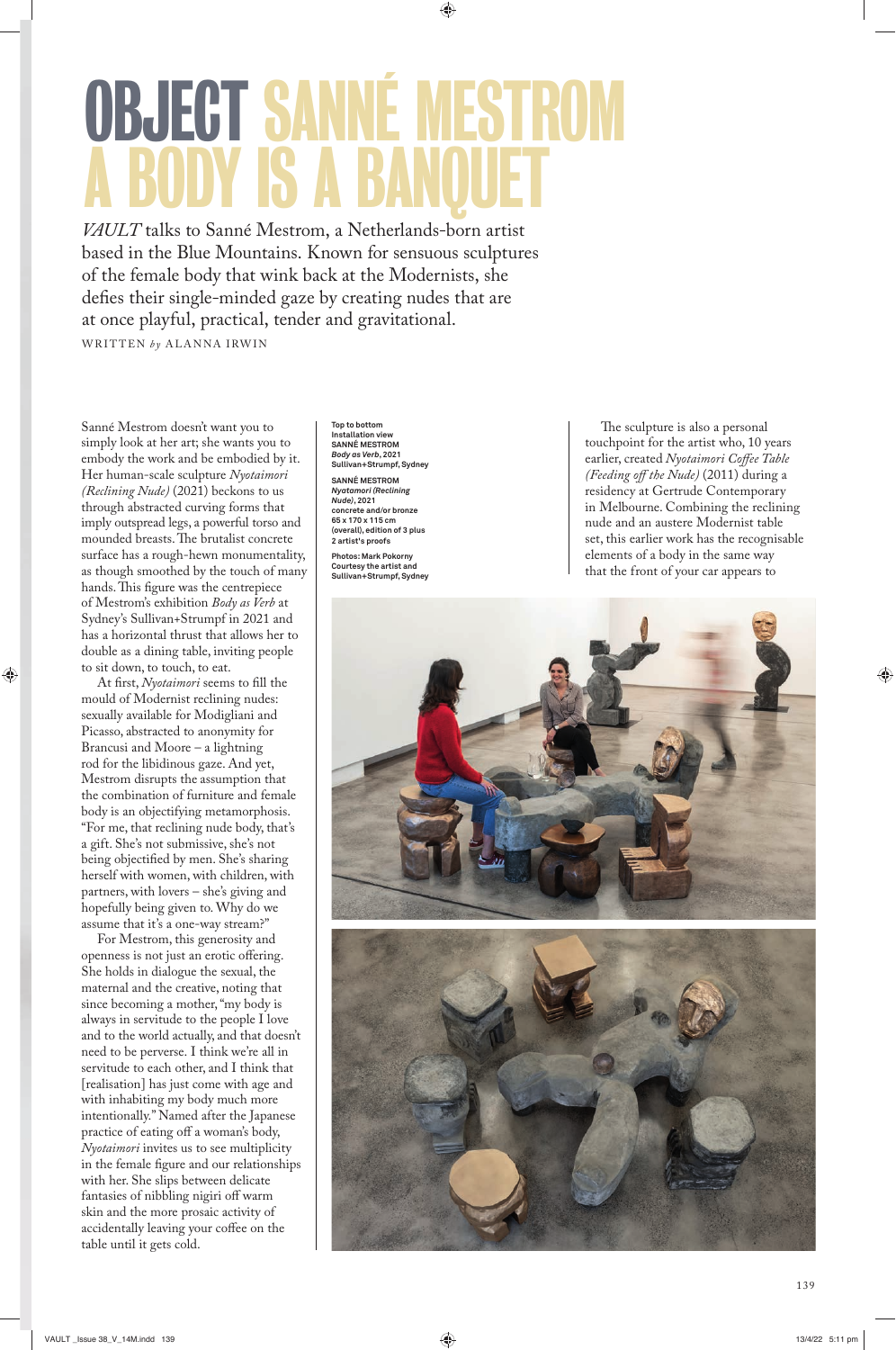## **UBJECT SANN** A BODY IS A BANQUET

*VAULT* talks to Sanné Mestrom, a Netherlands-born artist based in the Blue Mountains. Known for sensuous sculptures of the female body that wink back at the Modernists, she defies their single-minded gaze by creating nudes that are at once playful, practical, tender and gravitational.

WRITTEN by ALANNA IRWIN

Sanné Mestrom doesn't want you to simply look at her art; she wants you to embody the work and be embodied by it. Her human-scale sculpture *Nyotaimori (Reclining Nude)* (2021) beckons to us through abstracted curving forms that imply outspread legs, a powerful torso and mounded breasts. The brutalist concrete surface has a rough-hewn monumentality, as though smoothed by the touch of many hands. This figure was the centrepiece of Mestrom's exhibition *Body as Verb* at Sydney's Sullivan+Strumpf in 2021 and has a horizontal thrust that allows her to double as a dining table, inviting people to sit down, to touch, to eat.

At first, *Nyotaimori* seems to fill the mould of Modernist reclining nudes: sexually available for Modigliani and Picasso, abstracted to anonymity for Brancusi and Moore – a lightning rod for the libidinous gaze. And yet, Mestrom disrupts the assumption that the combination of furniture and female body is an objectifying metamorphosis. "For me, that reclining nude body, that's a gift. She's not submissive, she's not being objectified by men. She's sharing herself with women, with children, with partners, with lovers – she's giving and hopefully being given to. Why do we assume that it's a one-way stream?"

For Mestrom, this generosity and openness is not just an erotic offering. She holds in dialogue the sexual, the maternal and the creative, noting that since becoming a mother, "my body is always in servitude to the people I love and to the world actually, and that doesn't need to be perverse. I think we're all in servitude to each other, and I think that [realisation] has just come with age and with inhabiting my body much more intentionally." Named after the Japanese practice of eating off a woman's body, *Nyotaimori* invites us to see multiplicity in the female figure and our relationships with her. She slips between delicate fantasies of nibbling nigiri off warm skin and the more prosaic activity of accidentally leaving your coffee on the table until it gets cold.

**Top to bottom Installation view SANNÉ MESTROM** *Body as Verb***, 2021 Sullivan+Strumpf, Sydney SANNÉ MESTROM** *Nyatamori (Reclining Nude)***, 2021 concrete and/or bronze 65 x 170 x 115 cm (overall), edition of 3 plus 2 artist's proofs**

**Photos: Mark Pokorny Courtesy the artist and Sullivan+Strumpf, Sydney** 

The sculpture is also a personal touchpoint for the artist who, 10 years earlier, created *Nyotaimori Coffee Table (Feeding off the Nude)* (2011) during a residency at Gertrude Contemporary in Melbourne. Combining the reclining nude and an austere Modernist table set, this earlier work has the recognisable elements of a body in the same way that the front of your car appears to